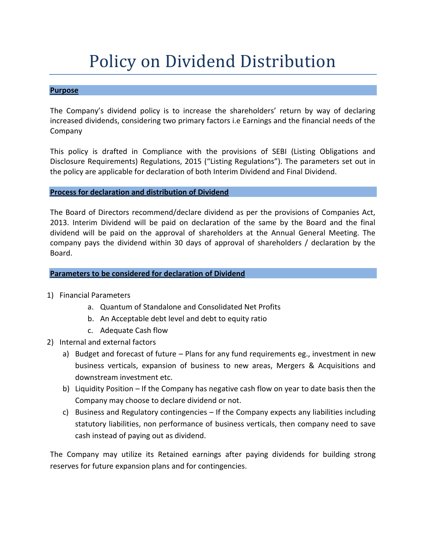## Policy on Dividend Distribution

## **Purpose**

The Company's dividend policy is to increase the shareholders' return by way of declaring increased dividends, considering two primary factors i.e Earnings and the financial needs of the Company

This policy is drafted in Compliance with the provisions of SEBI (Listing Obligations and Disclosure Requirements) Regulations, 2015 ("Listing Regulations"). The parameters set out in the policy are applicable for declaration of both Interim Dividend and Final Dividend.

## **Process for declaration and distribution of Dividend**

The Board of Directors recommend/declare dividend as per the provisions of Companies Act, 2013. Interim Dividend will be paid on declaration of the same by the Board and the final dividend will be paid on the approval of shareholders at the Annual General Meeting. The company pays the dividend within 30 days of approval of shareholders / declaration by the Board.

## **Parameters to be considered for declaration of Dividend**

- 1) Financial Parameters
	- a. Quantum of Standalone and Consolidated Net Profits
	- b. An Acceptable debt level and debt to equity ratio
	- c. Adequate Cash flow
- 2) Internal and external factors
	- a) Budget and forecast of future Plans for any fund requirements eg., investment in new business verticals, expansion of business to new areas, Mergers & Acquisitions and downstream investment etc.
	- b) Liquidity Position If the Company has negative cash flow on year to date basis then the Company may choose to declare dividend or not.
	- c) Business and Regulatory contingencies If the Company expects any liabilities including statutory liabilities, non performance of business verticals, then company need to save cash instead of paying out as dividend.

The Company may utilize its Retained earnings after paying dividends for building strong reserves for future expansion plans and for contingencies.